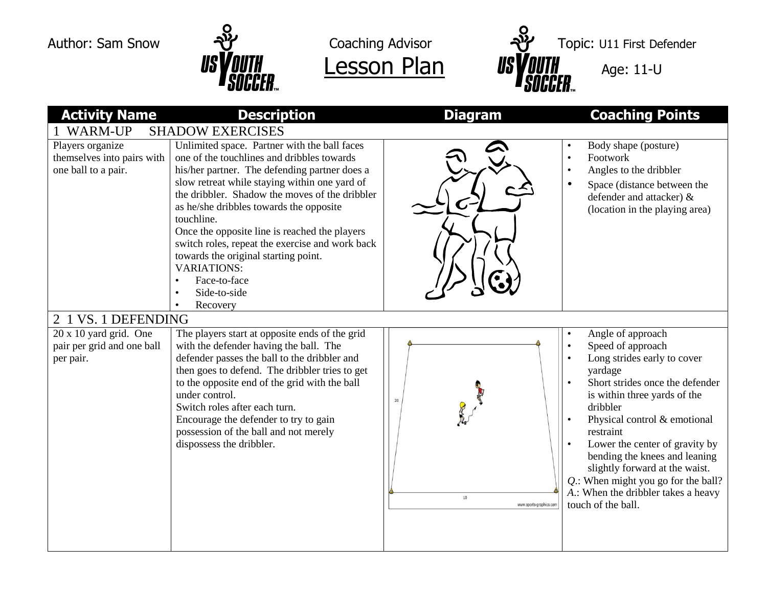



Author: Sam Snow  $\frac{1}{2}$  Coaching Advisor  $\frac{1}{2}$  Topic: U11 First Defender  $\frac{1}{s}$  US  $\frac{1}{s}$  and  $\frac{1}{s}$  and  $\frac{1}{s}$  and  $\frac{1}{s}$  and  $\frac{1}{s}$  and  $\frac{1}{s}$  and  $\frac{1}{s}$  and  $\frac{1}{s}$  and  $\frac{1}{s}$  and  $\frac{1}{s}$  and  $\frac{1}{s}$  and  $\frac{1}{s}$  and  $\frac{1}{s}$  and  $\frac{1}{s}$  and  $\frac{1}{s}$  an

| <b>Activity Name</b>                                                     | <b>Description</b>                                                                                                                                                                                                                                                                                                                                                                                                                                                                                                    | <b>Diagram</b>                          | <b>Coaching Points</b>                                                                                                                                                                                                                                                                                                                                                                                                |  |  |
|--------------------------------------------------------------------------|-----------------------------------------------------------------------------------------------------------------------------------------------------------------------------------------------------------------------------------------------------------------------------------------------------------------------------------------------------------------------------------------------------------------------------------------------------------------------------------------------------------------------|-----------------------------------------|-----------------------------------------------------------------------------------------------------------------------------------------------------------------------------------------------------------------------------------------------------------------------------------------------------------------------------------------------------------------------------------------------------------------------|--|--|
| <b>WARM-UP</b><br><b>SHADOW EXERCISES</b>                                |                                                                                                                                                                                                                                                                                                                                                                                                                                                                                                                       |                                         |                                                                                                                                                                                                                                                                                                                                                                                                                       |  |  |
| Players organize<br>themselves into pairs with<br>one ball to a pair.    | Unlimited space. Partner with the ball faces<br>one of the touchlines and dribbles towards<br>his/her partner. The defending partner does a<br>slow retreat while staying within one yard of<br>the dribbler. Shadow the moves of the dribbler<br>as he/she dribbles towards the opposite<br>touchline.<br>Once the opposite line is reached the players<br>switch roles, repeat the exercise and work back<br>towards the original starting point.<br><b>VARIATIONS:</b><br>Face-to-face<br>Side-to-side<br>Recovery |                                         | Body shape (posture)<br>Footwork<br>$\bullet$<br>Angles to the dribbler<br>$\bullet$<br>Space (distance between the<br>$\bullet$<br>defender and attacker) &<br>(location in the playing area)                                                                                                                                                                                                                        |  |  |
| 1 VS. 1 DEFENDING<br>$\overline{2}$                                      |                                                                                                                                                                                                                                                                                                                                                                                                                                                                                                                       |                                         |                                                                                                                                                                                                                                                                                                                                                                                                                       |  |  |
| $20 \times 10$ yard grid. One<br>pair per grid and one ball<br>per pair. | The players start at opposite ends of the grid<br>with the defender having the ball. The<br>defender passes the ball to the dribbler and<br>then goes to defend. The dribbler tries to get<br>to the opposite end of the grid with the ball<br>under control.<br>Switch roles after each turn.<br>Encourage the defender to try to gain<br>possession of the ball and not merely<br>dispossess the dribbler.                                                                                                          | 20<br>$10\,$<br>www.sports-graphics.com | Angle of approach<br>Speed of approach<br>Long strides early to cover<br>yardage<br>Short strides once the defender<br>is within three yards of the<br>dribbler<br>Physical control & emotional<br>restraint<br>Lower the center of gravity by<br>bending the knees and leaning<br>slightly forward at the waist.<br>Q.: When might you go for the ball?<br>A.: When the dribbler takes a heavy<br>touch of the ball. |  |  |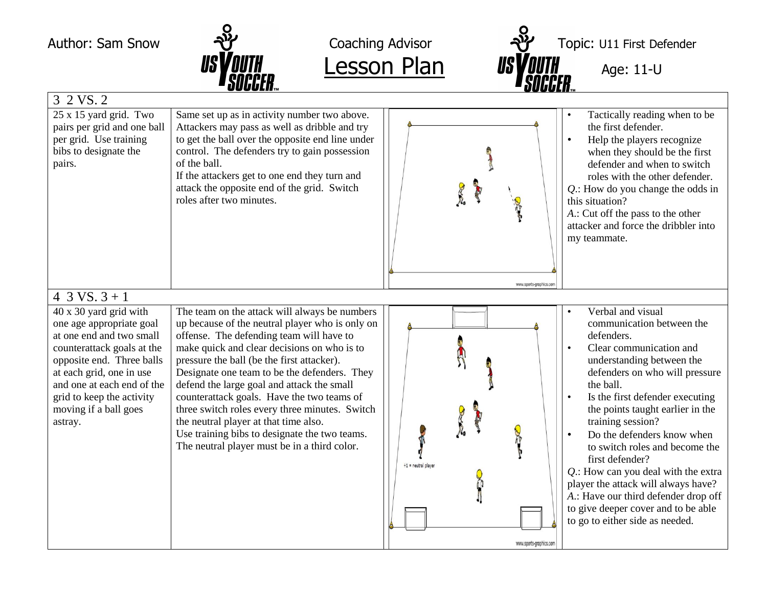

 $Lesson Plan$  *ISYOUTH*  $_{Age: 11-U}$ </u>

Author: Sam Snow  $\frac{1}{2}$  Coaching Advisor  $\frac{1}{2}$  Topic: U11 First Defender

|                                                                                                                                                                                                                                                                      | <b>Paugglin</b>                                                                                                                                                                                                                                                                                                                                                                                                                                                                                                                                                                   |                                                  |                                                                                                                                                                                                                                                                                                                                                                                                                                                                                                                                                    |  |  |  |
|----------------------------------------------------------------------------------------------------------------------------------------------------------------------------------------------------------------------------------------------------------------------|-----------------------------------------------------------------------------------------------------------------------------------------------------------------------------------------------------------------------------------------------------------------------------------------------------------------------------------------------------------------------------------------------------------------------------------------------------------------------------------------------------------------------------------------------------------------------------------|--------------------------------------------------|----------------------------------------------------------------------------------------------------------------------------------------------------------------------------------------------------------------------------------------------------------------------------------------------------------------------------------------------------------------------------------------------------------------------------------------------------------------------------------------------------------------------------------------------------|--|--|--|
| 3 2 VS. 2                                                                                                                                                                                                                                                            |                                                                                                                                                                                                                                                                                                                                                                                                                                                                                                                                                                                   |                                                  |                                                                                                                                                                                                                                                                                                                                                                                                                                                                                                                                                    |  |  |  |
| 25 x 15 yard grid. Two<br>pairs per grid and one ball<br>per grid. Use training<br>bibs to designate the<br>pairs.                                                                                                                                                   | Same set up as in activity number two above.<br>Attackers may pass as well as dribble and try<br>to get the ball over the opposite end line under<br>control. The defenders try to gain possession<br>of the ball.<br>If the attackers get to one end they turn and<br>attack the opposite end of the grid. Switch<br>roles after two minutes.                                                                                                                                                                                                                                    | www.sports-graphics.co                           | Tactically reading when to be<br>the first defender.<br>Help the players recognize<br>$\bullet$<br>when they should be the first<br>defender and when to switch<br>roles with the other defender.<br>$Q$ .: How do you change the odds in<br>this situation?<br>A.: Cut off the pass to the other<br>attacker and force the dribbler into<br>my teammate.                                                                                                                                                                                          |  |  |  |
| 4 3 VS. $3 + 1$                                                                                                                                                                                                                                                      |                                                                                                                                                                                                                                                                                                                                                                                                                                                                                                                                                                                   |                                                  |                                                                                                                                                                                                                                                                                                                                                                                                                                                                                                                                                    |  |  |  |
| 40 x 30 yard grid with<br>one age appropriate goal<br>at one end and two small<br>counterattack goals at the<br>opposite end. Three balls<br>at each grid, one in use<br>and one at each end of the<br>grid to keep the activity<br>moving if a ball goes<br>astray. | The team on the attack will always be numbers<br>up because of the neutral player who is only on<br>offense. The defending team will have to<br>make quick and clear decisions on who is to<br>pressure the ball (be the first attacker).<br>Designate one team to be the defenders. They<br>defend the large goal and attack the small<br>counterattack goals. Have the two teams of<br>three switch roles every three minutes. Switch<br>the neutral player at that time also.<br>Use training bibs to designate the two teams.<br>The neutral player must be in a third color. | $+1$ = neutral player<br>www.sports-graphics.com | Verbal and visual<br>communication between the<br>defenders.<br>Clear communication and<br>understanding between the<br>defenders on who will pressure<br>the ball.<br>Is the first defender executing<br>the points taught earlier in the<br>training session?<br>Do the defenders know when<br>to switch roles and become the<br>first defender?<br>Q.: How can you deal with the extra<br>player the attack will always have?<br>A.: Have our third defender drop off<br>to give deeper cover and to be able<br>to go to either side as needed. |  |  |  |